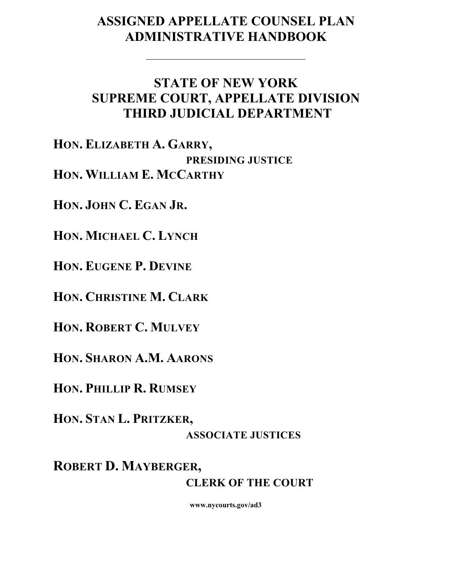# **ASSIGNED APPELLATE COUNSEL PLAN ADMINISTRATIVE HANDBOOK**

# **STATE OF NEW YORK SUPREME COURT, APPELLATE DIVISION THIRD JUDICIAL DEPARTMENT**

**HON. ELIZABETH A. GARRY, PRESIDING JUSTICE HON. WILLIAM E. MCCARTHY**

**HON. JOHN C. EGAN JR.**

**HON. MICHAEL C. LYNCH**

**HON. EUGENE P. DEVINE**

**HON. CHRISTINE M. CLARK**

**HON. ROBERT C. MULVEY**

**HON. SHARON A.M. AARONS**

**HON. PHILLIP R. RUMSEY**

**HON. STAN L. PRITZKER,**

# **ASSOCIATE JUSTICES**

**ROBERT D. MAYBERGER, CLERK OF THE COURT**

**www.nycourts.gov/ad3**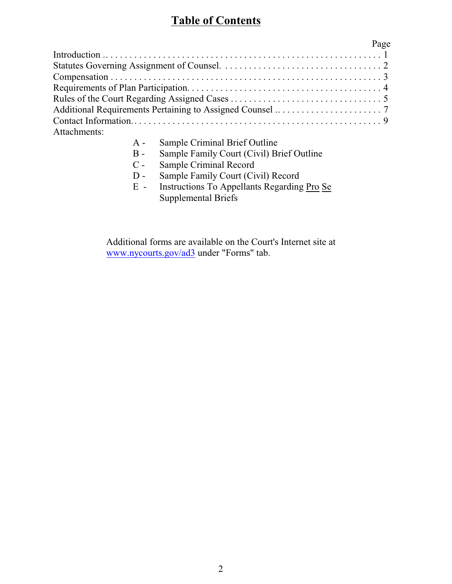# **Table of Contents**

|              | Page |
|--------------|------|
|              |      |
|              |      |
|              |      |
|              |      |
|              |      |
|              |      |
|              |      |
| Attachments: |      |

- A Sample Criminal Brief Outline
- B Sample Family Court (Civil) Brief Outline
- C Sample Criminal Record<br>D Sample Family Court (Ci
- Sample Family Court (Civil) Record
- E Instructions To Appellants Regarding Pro Se Supplemental Briefs

Additional forms are available on the Court's Internet site at [www.nycourts.gov/ad3](http://www.courts.state.ny.us/ad3) under "Forms" tab.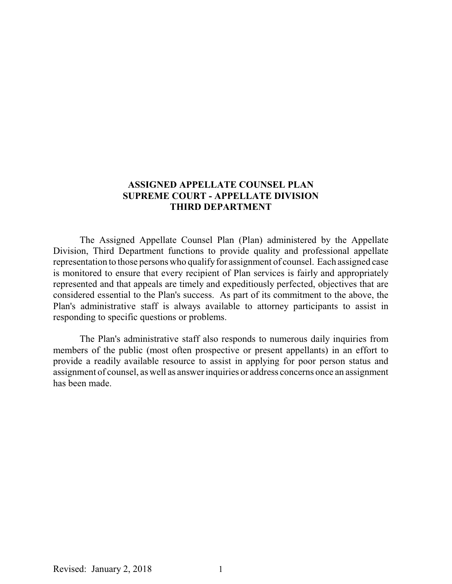### **ASSIGNED APPELLATE COUNSEL PLAN SUPREME COURT - APPELLATE DIVISION THIRD DEPARTMENT**

The Assigned Appellate Counsel Plan (Plan) administered by the Appellate Division, Third Department functions to provide quality and professional appellate representation to those persons who qualifyfor assignment of counsel. Each assigned case is monitored to ensure that every recipient of Plan services is fairly and appropriately represented and that appeals are timely and expeditiously perfected, objectives that are considered essential to the Plan's success. As part of its commitment to the above, the Plan's administrative staff is always available to attorney participants to assist in responding to specific questions or problems.

The Plan's administrative staff also responds to numerous daily inquiries from members of the public (most often prospective or present appellants) in an effort to provide a readily available resource to assist in applying for poor person status and assignment of counsel, as well as answer inquiries or address concerns once an assignment has been made.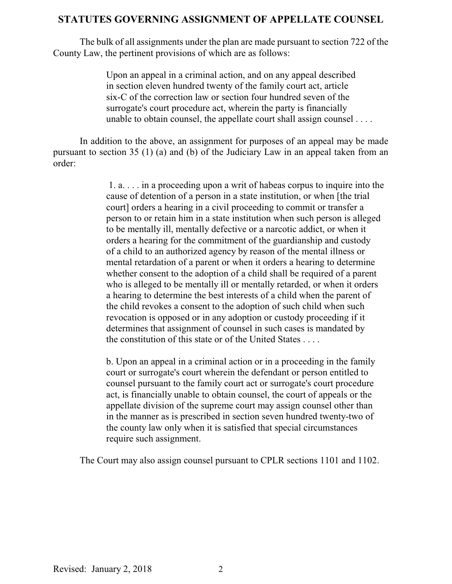### **STATUTES GOVERNING ASSIGNMENT OF APPELLATE COUNSEL**

The bulk of all assignments under the plan are made pursuant to section 722 of the County Law, the pertinent provisions of which are as follows:

> Upon an appeal in a criminal action, and on any appeal described in section eleven hundred twenty of the family court act, article six-C of the correction law or section four hundred seven of the surrogate's court procedure act, wherein the party is financially unable to obtain counsel, the appellate court shall assign counsel . . . .

In addition to the above, an assignment for purposes of an appeal may be made pursuant to section 35 (1) (a) and (b) of the Judiciary Law in an appeal taken from an order:

> 1. a. . . . in a proceeding upon a writ of habeas corpus to inquire into the cause of detention of a person in a state institution, or when [the trial court] orders a hearing in a civil proceeding to commit or transfer a person to or retain him in a state institution when such person is alleged to be mentally ill, mentally defective or a narcotic addict, or when it orders a hearing for the commitment of the guardianship and custody of a child to an authorized agency by reason of the mental illness or mental retardation of a parent or when it orders a hearing to determine whether consent to the adoption of a child shall be required of a parent who is alleged to be mentally ill or mentally retarded, or when it orders a hearing to determine the best interests of a child when the parent of the child revokes a consent to the adoption of such child when such revocation is opposed or in any adoption or custody proceeding if it determines that assignment of counsel in such cases is mandated by the constitution of this state or of the United States . . . .

b. Upon an appeal in a criminal action or in a proceeding in the family court or surrogate's court wherein the defendant or person entitled to counsel pursuant to the family court act or surrogate's court procedure act, is financially unable to obtain counsel, the court of appeals or the appellate division of the supreme court may assign counsel other than in the manner as is prescribed in section seven hundred twenty-two of the county law only when it is satisfied that special circumstances require such assignment.

The Court may also assign counsel pursuant to CPLR sections 1101 and 1102.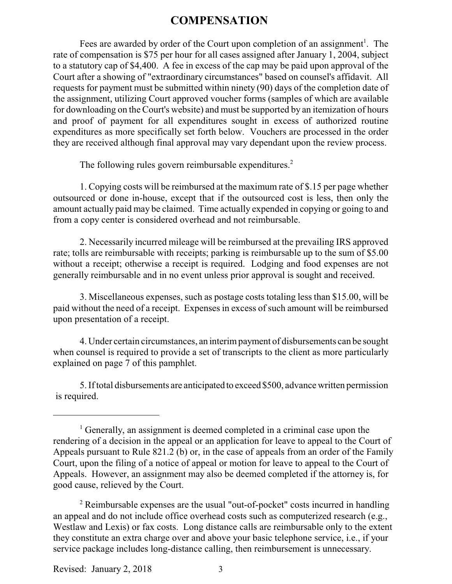### **COMPENSATION**

Fees are awarded by order of the Court upon completion of an assignment<sup>1</sup>. The rate of compensation is \$75 per hour for all cases assigned after January 1, 2004, subject to a statutory cap of \$4,400. A fee in excess of the cap may be paid upon approval of the Court after a showing of "extraordinary circumstances" based on counsel's affidavit. All requests for payment must be submitted within ninety (90) days of the completion date of the assignment, utilizing Court approved voucher forms (samples of which are available for downloading on the Court's website) and must be supported by an itemization of hours and proof of payment for all expenditures sought in excess of authorized routine expenditures as more specifically set forth below. Vouchers are processed in the order they are received although final approval may vary dependant upon the review process.

The following rules govern reimbursable expenditures.<sup>2</sup>

1. Copying costs will be reimbursed at the maximum rate of \$.15 per page whether outsourced or done in-house, except that if the outsourced cost is less, then only the amount actually paid may be claimed. Time actually expended in copying or going to and from a copy center is considered overhead and not reimbursable.

2. Necessarily incurred mileage will be reimbursed at the prevailing IRS approved rate; tolls are reimbursable with receipts; parking is reimbursable up to the sum of \$5.00 without a receipt; otherwise a receipt is required. Lodging and food expenses are not generally reimbursable and in no event unless prior approval is sought and received.

3. Miscellaneous expenses, such as postage costs totaling less than \$15.00, will be paid without the need of a receipt. Expenses in excess of such amount will be reimbursed upon presentation of a receipt.

4. Under certain circumstances, an interimpayment of disbursements can be sought when counsel is required to provide a set of transcripts to the client as more particularly explained on page 7 of this pamphlet.

5. Iftotal disbursements are anticipated to exceed \$500, advance written permission is required.

Revised: January 2, 2018

<sup>&</sup>lt;sup>1</sup> Generally, an assignment is deemed completed in a criminal case upon the rendering of a decision in the appeal or an application for leave to appeal to the Court of Appeals pursuant to Rule 821.2 (b) or, in the case of appeals from an order of the Family Court, upon the filing of a notice of appeal or motion for leave to appeal to the Court of Appeals. However, an assignment may also be deemed completed if the attorney is, for good cause, relieved by the Court.

 $2$  Reimbursable expenses are the usual "out-of-pocket" costs incurred in handling an appeal and do not include office overhead costs such as computerized research (e.g., Westlaw and Lexis) or fax costs. Long distance calls are reimbursable only to the extent they constitute an extra charge over and above your basic telephone service, i.e., if your service package includes long-distance calling, then reimbursement is unnecessary.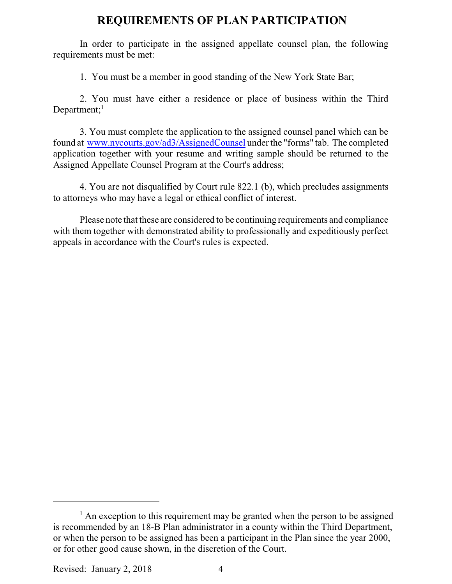### **REQUIREMENTS OF PLAN PARTICIPATION**

In order to participate in the assigned appellate counsel plan, the following requirements must be met:

1. You must be a member in good standing of the New York State Bar;

2. You must have either a residence or place of business within the Third Department; $<sup>1</sup>$ </sup>

3. You must complete the application to the assigned counsel panel which can be found at [www.nycourts.gov/ad3/AssignedCounsel](http://www.nycourts.gov/ad3/AssignedCounsel) under the "forms" tab. The completed application together with your resume and writing sample should be returned to the Assigned Appellate Counsel Program at the Court's address;

4. You are not disqualified by Court rule 822.1 (b), which precludes assignments to attorneys who may have a legal or ethical conflict of interest.

Please note that these are considered to be continuing requirements and compliance with them together with demonstrated ability to professionally and expeditiously perfect appeals in accordance with the Court's rules is expected.

Revised: January 2, 2018 4

<sup>&</sup>lt;sup>1</sup> An exception to this requirement may be granted when the person to be assigned is recommended by an 18-B Plan administrator in a county within the Third Department, or when the person to be assigned has been a participant in the Plan since the year 2000, or for other good cause shown, in the discretion of the Court.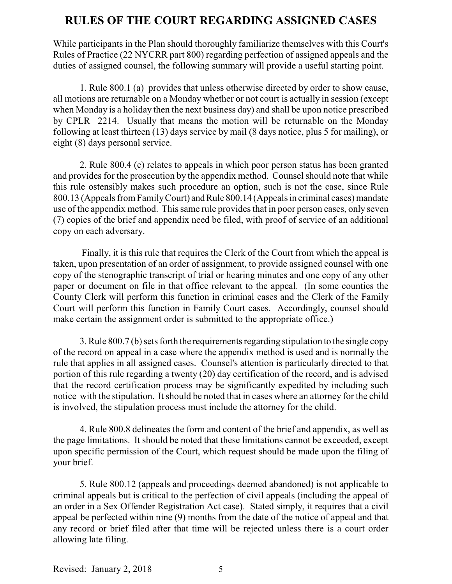### **RULES OF THE COURT REGARDING ASSIGNED CASES**

While participants in the Plan should thoroughly familiarize themselves with this Court's Rules of Practice (22 NYCRR part 800) regarding perfection of assigned appeals and the duties of assigned counsel, the following summary will provide a useful starting point.

1. Rule 800.1 (a) provides that unless otherwise directed by order to show cause, all motions are returnable on a Monday whether or not court is actually in session (except when Monday is a holiday then the next business day) and shall be upon notice prescribed by CPLR 2214. Usually that means the motion will be returnable on the Monday following at least thirteen (13) days service by mail (8 days notice, plus 5 for mailing), or eight (8) days personal service.

2. Rule 800.4 (c) relates to appeals in which poor person status has been granted and provides for the prosecution by the appendix method. Counsel should note that while this rule ostensibly makes such procedure an option, such is not the case, since Rule 800.13 (Appeals fromFamilyCourt) andRule 800.14 (Appeals in criminal cases) mandate use of the appendix method. This same rule provides that in poor person cases, only seven (7) copies of the brief and appendix need be filed, with proof of service of an additional copy on each adversary.

Finally, it is this rule that requires the Clerk of the Court from which the appeal is taken, upon presentation of an order of assignment, to provide assigned counsel with one copy of the stenographic transcript of trial or hearing minutes and one copy of any other paper or document on file in that office relevant to the appeal. (In some counties the County Clerk will perform this function in criminal cases and the Clerk of the Family Court will perform this function in Family Court cases. Accordingly, counsel should make certain the assignment order is submitted to the appropriate office.)

3. Rule 800.7 (b) sets forth the requirements regarding stipulation to the single copy of the record on appeal in a case where the appendix method is used and is normally the rule that applies in all assigned cases. Counsel's attention is particularly directed to that portion of this rule regarding a twenty (20) day certification of the record, and is advised that the record certification process may be significantly expedited by including such notice with the stipulation. It should be noted that in cases where an attorney for the child is involved, the stipulation process must include the attorney for the child.

4. Rule 800.8 delineates the form and content of the brief and appendix, as well as the page limitations. It should be noted that these limitations cannot be exceeded, except upon specific permission of the Court, which request should be made upon the filing of your brief.

5. Rule 800.12 (appeals and proceedings deemed abandoned) is not applicable to criminal appeals but is critical to the perfection of civil appeals (including the appeal of an order in a Sex Offender Registration Act case). Stated simply, it requires that a civil appeal be perfected within nine (9) months from the date of the notice of appeal and that any record or brief filed after that time will be rejected unless there is a court order allowing late filing.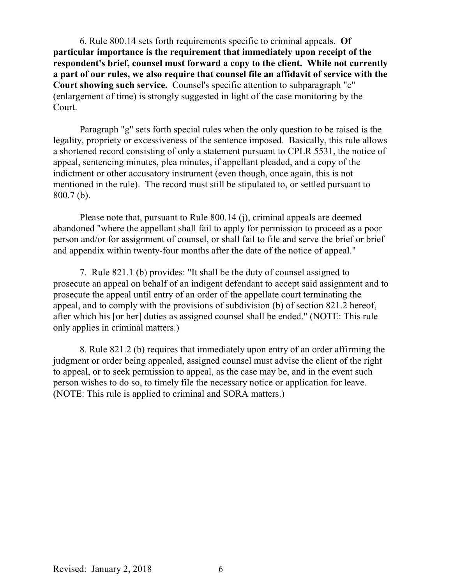6. Rule 800.14 sets forth requirements specific to criminal appeals. **Of particular importance is the requirement that immediately upon receipt of the respondent's brief, counsel must forward a copy to the client. While not currently a part of our rules, we also require that counsel file an affidavit of service with the Court showing such service.** Counsel's specific attention to subparagraph "c" (enlargement of time) is strongly suggested in light of the case monitoring by the Court.

Paragraph "g" sets forth special rules when the only question to be raised is the legality, propriety or excessiveness of the sentence imposed. Basically, this rule allows a shortened record consisting of only a statement pursuant to CPLR 5531, the notice of appeal, sentencing minutes, plea minutes, if appellant pleaded, and a copy of the indictment or other accusatory instrument (even though, once again, this is not mentioned in the rule). The record must still be stipulated to, or settled pursuant to 800.7 (b).

Please note that, pursuant to Rule 800.14 (j), criminal appeals are deemed abandoned "where the appellant shall fail to apply for permission to proceed as a poor person and/or for assignment of counsel, or shall fail to file and serve the brief or brief and appendix within twenty-four months after the date of the notice of appeal."

7. Rule 821.1 (b) provides: "It shall be the duty of counsel assigned to prosecute an appeal on behalf of an indigent defendant to accept said assignment and to prosecute the appeal until entry of an order of the appellate court terminating the appeal, and to comply with the provisions of subdivision (b) of section 821.2 hereof, after which his [or her] duties as assigned counsel shall be ended." (NOTE: This rule only applies in criminal matters.)

8. Rule 821.2 (b) requires that immediately upon entry of an order affirming the judgment or order being appealed, assigned counsel must advise the client of the right to appeal, or to seek permission to appeal, as the case may be, and in the event such person wishes to do so, to timely file the necessary notice or application for leave. (NOTE: This rule is applied to criminal and SORA matters.)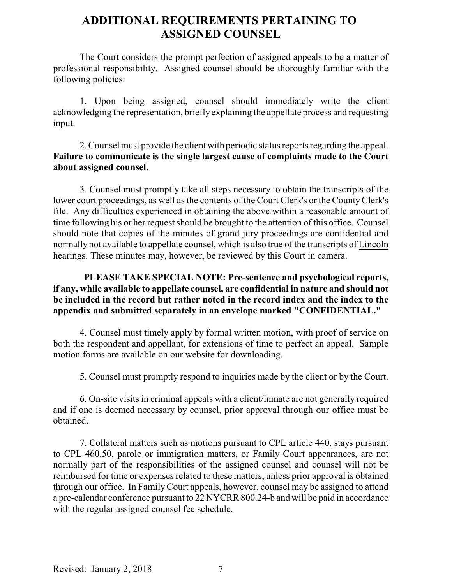# **ADDITIONAL REQUIREMENTS PERTAINING TO ASSIGNED COUNSEL**

The Court considers the prompt perfection of assigned appeals to be a matter of professional responsibility. Assigned counsel should be thoroughly familiar with the following policies:

1. Upon being assigned, counsel should immediately write the client acknowledging the representation, briefly explaining the appellate process and requesting input.

2. Counsel must provide the client with periodic status reports regarding the appeal. **Failure to communicate is the single largest cause of complaints made to the Court about assigned counsel.** 

3. Counsel must promptly take all steps necessary to obtain the transcripts of the lower court proceedings, as well as the contents of the Court Clerk's or the CountyClerk's file. Any difficulties experienced in obtaining the above within a reasonable amount of time following his or her request should be brought to the attention of this office. Counsel should note that copies of the minutes of grand jury proceedings are confidential and normally not available to appellate counsel, which is also true of the transcripts of Lincoln hearings. These minutes may, however, be reviewed by this Court in camera.

### **PLEASE TAKE SPECIAL NOTE: Pre-sentence and psychological reports, if any, while available to appellate counsel, are confidential in nature and should not be included in the record but rather noted in the record index and the index to the appendix and submitted separately in an envelope marked "CONFIDENTIAL."**

4. Counsel must timely apply by formal written motion, with proof of service on both the respondent and appellant, for extensions of time to perfect an appeal. Sample motion forms are available on our website for downloading.

5. Counsel must promptly respond to inquiries made by the client or by the Court.

6. On-site visits in criminal appeals with a client/inmate are not generally required and if one is deemed necessary by counsel, prior approval through our office must be obtained.

7. Collateral matters such as motions pursuant to CPL article 440, stays pursuant to CPL 460.50, parole or immigration matters, or Family Court appearances, are not normally part of the responsibilities of the assigned counsel and counsel will not be reimbursed for time or expenses related to these matters, unless prior approval is obtained through our office. In FamilyCourt appeals, however, counsel may be assigned to attend a pre-calendar conference pursuant to 22 NYCRR 800.24-b and will be paid in accordance with the regular assigned counsel fee schedule.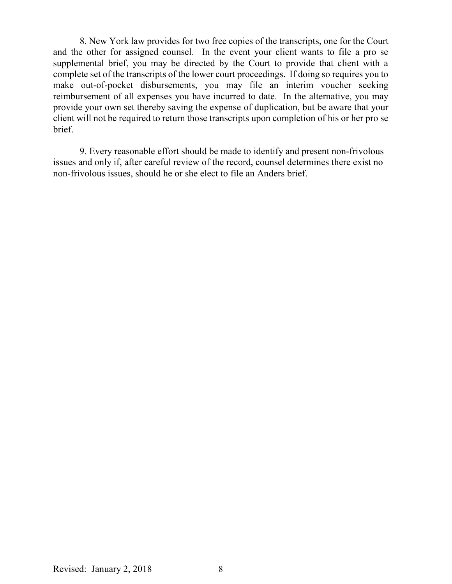8. New York law provides for two free copies of the transcripts, one for the Court and the other for assigned counsel. In the event your client wants to file a pro se supplemental brief, you may be directed by the Court to provide that client with a complete set of the transcripts of the lower court proceedings. If doing so requires you to make out-of-pocket disbursements, you may file an interim voucher seeking reimbursement of all expenses you have incurred to date. In the alternative, you may provide your own set thereby saving the expense of duplication, but be aware that your client will not be required to return those transcripts upon completion of his or her pro se brief.

9. Every reasonable effort should be made to identify and present non-frivolous issues and only if, after careful review of the record, counsel determines there exist no non-frivolous issues, should he or she elect to file an Anders brief.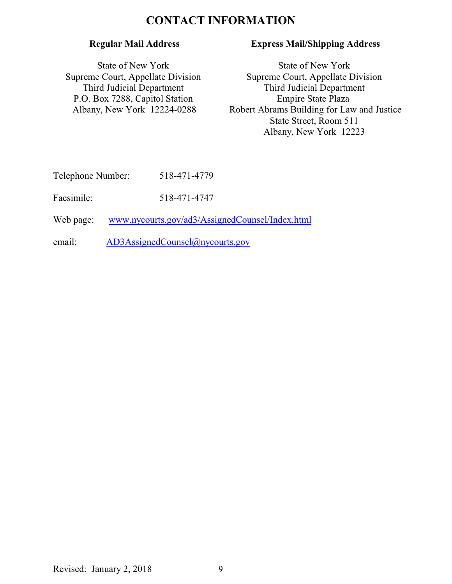## **CONTACT INFORMATION**

### **Regular Mail Address**

State of New York Supreme Court, Appellate Division Third Judicial Department P.O. Box 7288, Capitol Station Albany, New York 12224-0288

### **Express Mail/Shipping Address**

State of New York Supreme Court, Appellate Division Third Judicial Department Empire State Plaza Robert Abrams Building for Law and Justice State Street, Room 511 Albany, New York 12223

Facsimile: 518-471-4747

Web page: [www.nycourts.gov/ad3/AssignedCounsel/Index.html](http://www.nycourts.gov/ad3/AssignedCounsel/Index.html)

email: [AD3AssignedCounsel@nycourts.gov](mailto:AD3AssignedCounsel@nycourts.gov)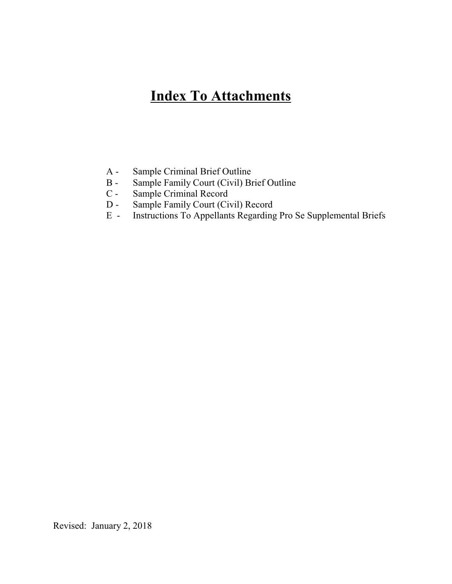# **Index To Attachments**

- A Sample Criminal Brief Outline
- B Sample Family Court (Civil) Brief Outline
- C Sample Criminal Record<br>D Sample Family Court (Ci
- D Sample Family Court (Civil) Record
- E Instructions To Appellants Regarding Pro Se Supplemental Briefs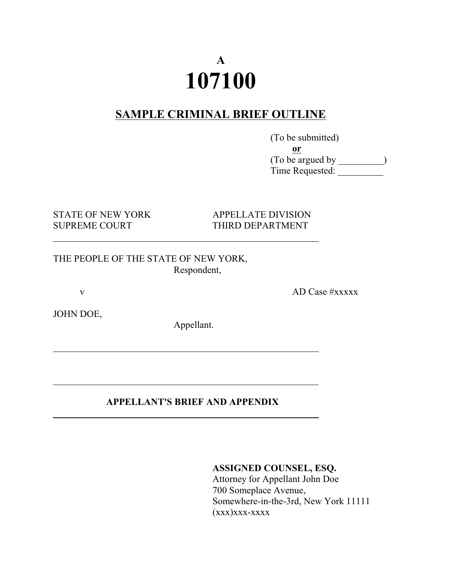# **A 107100**

# **SAMPLE CRIMINAL BRIEF OUTLINE**

 (To be submitted) **or** (To be argued by ) Time Requested:

SUPREME COURT THIRD DEPARTMENT

STATE OF NEW YORK APPELLATE DIVISION

THE PEOPLE OF THE STATE OF NEW YORK, Respondent,

v AD Case #xxxxx

l

l

JOHN DOE,

Appellant.

### **APPELLANT'S BRIEF AND APPENDIX**

**ASSIGNED COUNSEL, ESQ.**

Attorney for Appellant John Doe 700 Someplace Avenue, Somewhere-in-the-3rd, New York 11111  $(xxx)xxx-xxxx$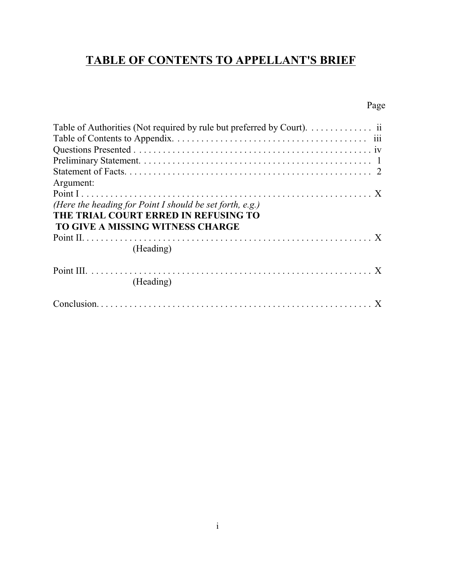# **TABLE OF CONTENTS TO APPELLANT'S BRIEF**

## Page

| Argument:                                                                                                                            |
|--------------------------------------------------------------------------------------------------------------------------------------|
| (Here the heading for Point I should be set forth, e.g.)<br>THE TRIAL COURT ERRED IN REFUSING TO<br>TO GIVE A MISSING WITNESS CHARGE |
| (Heading)                                                                                                                            |
| (Heading)                                                                                                                            |
|                                                                                                                                      |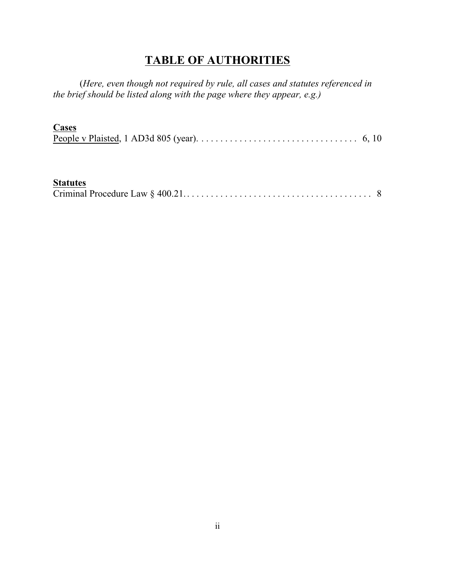# **TABLE OF AUTHORITIES**

(*Here, even though not required by rule, all cases and statutes referenced in the brief should be listed along with the page where they appear, e.g.)*

### **Cases**

| People v Plaisted, 1 AD3d 805 (year). $\dots \dots \dots \dots \dots \dots \dots \dots \dots \dots \dots \dots$ 6, 10 |  |  |  |  |  |  |  |  |  |
|-----------------------------------------------------------------------------------------------------------------------|--|--|--|--|--|--|--|--|--|

## **Statutes**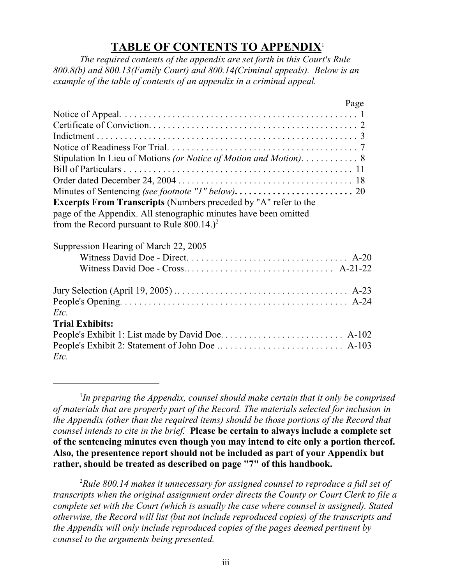# **TABLE OF CONTENTS TO APPENDIX**<sup>1</sup>

*The required contents of the appendix are set forth in this Court's Rule 800.8(b) and 800.13(Family Court) and 800.14(Criminal appeals). Below is an example of the table of contents of an appendix in a criminal appeal.*

| Page                                                                   |  |
|------------------------------------------------------------------------|--|
|                                                                        |  |
|                                                                        |  |
|                                                                        |  |
|                                                                        |  |
| Stipulation In Lieu of Motions (or Notice of Motion and Motion). 8     |  |
|                                                                        |  |
|                                                                        |  |
|                                                                        |  |
| <b>Excerpts From Transcripts</b> (Numbers preceded by "A" refer to the |  |
| page of the Appendix. All stenographic minutes have been omitted       |  |
| from the Record pursuant to Rule $800.14.$ <sup>2</sup>                |  |
| Suppression Hearing of March 22, 2005                                  |  |
|                                                                        |  |
|                                                                        |  |
|                                                                        |  |
|                                                                        |  |
| $Etc$ .                                                                |  |
| <b>Trial Exhibits:</b>                                                 |  |
|                                                                        |  |
|                                                                        |  |
| Etc.                                                                   |  |

1 *In preparing the Appendix, counsel should make certain that it only be comprised of materials that are properly part of the Record. The materials selected for inclusion in the Appendix (other than the required items) should be those portions of the Record that counsel intends to cite in the brief.* **Please be certain to always include a complete set of the sentencing minutes even though you may intend to cite only a portion thereof. Also, the presentence report should not be included as part of your Appendix but rather, should be treated as described on page "7" of this handbook.**

<sup>2</sup>*Rule 800.14 makes it unnecessary for assigned counsel to reproduce a full set of transcripts when the original assignment order directs the County or Court Clerk to file a complete set with the Court (which is usually the case where counsel is assigned). Stated otherwise, the Record will list (but not include reproduced copies) of the transcripts and the Appendix will only include reproduced copies of the pages deemed pertinent by counsel to the arguments being presented.*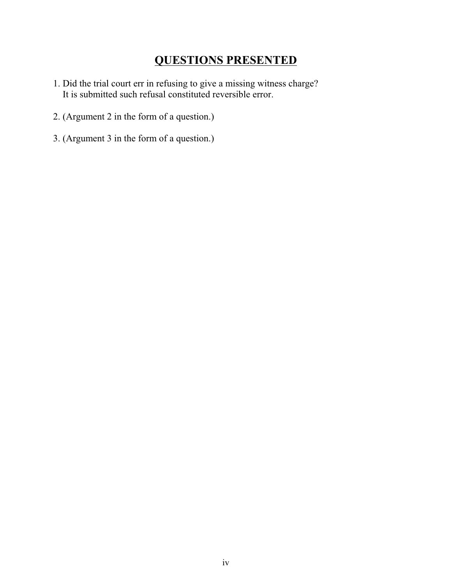# **QUESTIONS PRESENTED**

- 1. Did the trial court err in refusing to give a missing witness charge? It is submitted such refusal constituted reversible error.
- 2. (Argument 2 in the form of a question.)
- 3. (Argument 3 in the form of a question.)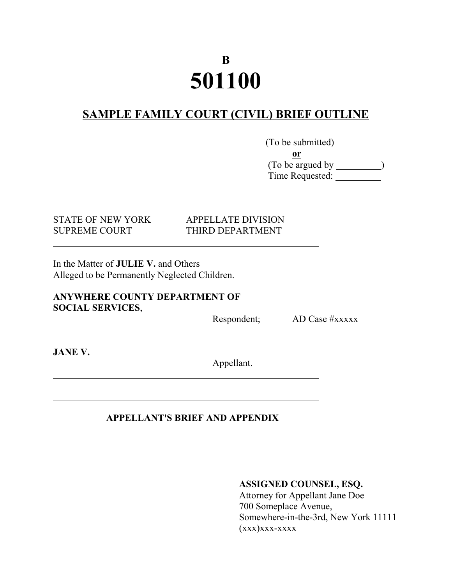# **B 501100**

# **SAMPLE FAMILY COURT (CIVIL) BRIEF OUTLINE**

(To be submitted) **or** (To be argued by ) Time Requested:

STATE OF NEW YORK APPELLATE DIVISION

# SUPREME COURT THIRD DEPARTMENT

In the Matter of **JULIE V.** and Others Alleged to be Permanently Neglected Children.

**ANYWHERE COUNTY DEPARTMENT OF SOCIAL SERVICES**,

Respondent; AD Case #xxxxx

**JANE V.**

l

l

Appellant.

### **APPELLANT'S BRIEF AND APPENDIX**

### **ASSIGNED COUNSEL, ESQ.**

Attorney for Appellant Jane Doe 700 Someplace Avenue, Somewhere-in-the-3rd, New York 11111  $(xxx)xxx-xxxxx$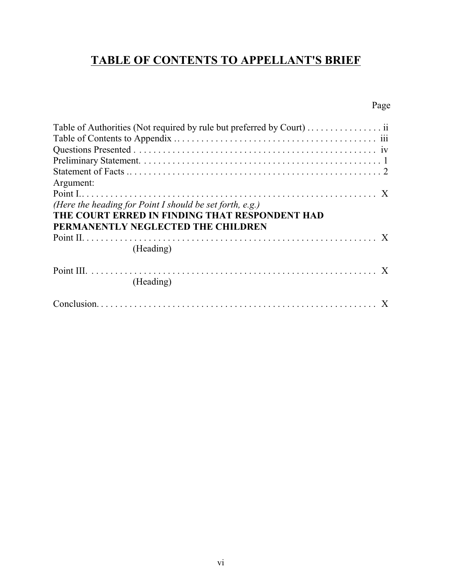# **TABLE OF CONTENTS TO APPELLANT'S BRIEF**

# Page

| Table of Authorities (Not required by rule but preferred by Court)  ii |  |
|------------------------------------------------------------------------|--|
|                                                                        |  |
| Argument:                                                              |  |
|                                                                        |  |
| (Here the heading for Point I should be set forth, e.g.)               |  |
|                                                                        |  |
| THE COURT ERRED IN FINDING THAT RESPONDENT HAD                         |  |
| PERMANENTLY NEGLECTED THE CHILDREN                                     |  |
|                                                                        |  |
| (Heading)                                                              |  |
|                                                                        |  |
| (Heading)                                                              |  |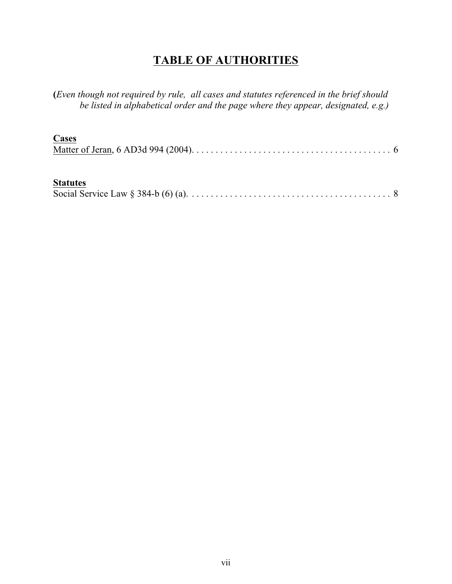# **TABLE OF AUTHORITIES**

**(***Even though not required by rule, all cases and statutes referenced in the brief should be listed in alphabetical order and the page where they appear, designated, e.g.)*

| Cases |  |
|-------|--|
|       |  |

### **Statutes**

|--|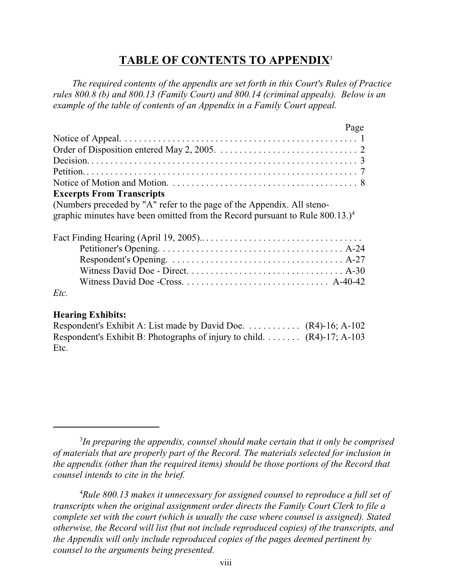## **TABLE OF CONTENTS TO APPENDIX**<sup>3</sup>

 *The required contents of the appendix are set forth in this Court's Rules of Practice rules 800.8 (b) and 800.13 (Family Court) and 800.14 (criminal appeals). Below is an example of the table of contents of an Appendix in a Family Court appeal.*

|                                                                                                                                                                       | Page |
|-----------------------------------------------------------------------------------------------------------------------------------------------------------------------|------|
|                                                                                                                                                                       |      |
|                                                                                                                                                                       |      |
|                                                                                                                                                                       |      |
|                                                                                                                                                                       |      |
|                                                                                                                                                                       |      |
| <b>Excerpts From Transcripts</b>                                                                                                                                      |      |
| (Numbers preceded by "A" refer to the page of the Appendix. All steno-<br>graphic minutes have been omitted from the Record pursuant to Rule $800.13$ .) <sup>4</sup> |      |
|                                                                                                                                                                       |      |
|                                                                                                                                                                       |      |
|                                                                                                                                                                       |      |
|                                                                                                                                                                       |      |
|                                                                                                                                                                       |      |
| Etc.                                                                                                                                                                  |      |

#### **Hearing Exhibits:**

| Respondent's Exhibit A: List made by David Doe. $\dots \dots \dots$ (R4)-16; A-102 |  |
|------------------------------------------------------------------------------------|--|
| Respondent's Exhibit B: Photographs of injury to child. $\dots$ (R4)-17; A-103     |  |
| Etc.                                                                               |  |

<sup>4</sup>*Rule 800.13 makes it unnecessary for assigned counsel to reproduce a full set of transcripts when the original assignment order directs the Family Court Clerk to file a complete set with the court (which is usually the case where counsel is assigned). Stated otherwise, the Record will list (but not include reproduced copies) of the transcripts, and the Appendix will only include reproduced copies of the pages deemed pertinent by counsel to the arguments being presented.* 

<sup>3</sup> *In preparing the appendix, counsel should make certain that it only be comprised of materials that are properly part of the Record. The materials selected for inclusion in the appendix (other than the required items) should be those portions of the Record that counsel intends to cite in the brief.*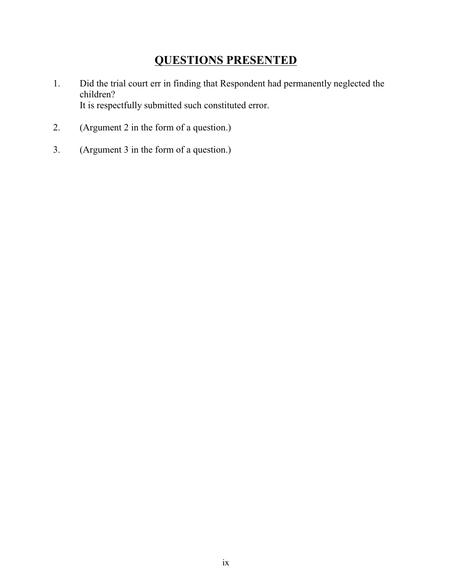# **QUESTIONS PRESENTED**

- 1. Did the trial court err in finding that Respondent had permanently neglected the children? It is respectfully submitted such constituted error.
- 2. (Argument 2 in the form of a question.)
- 3. (Argument 3 in the form of a question.)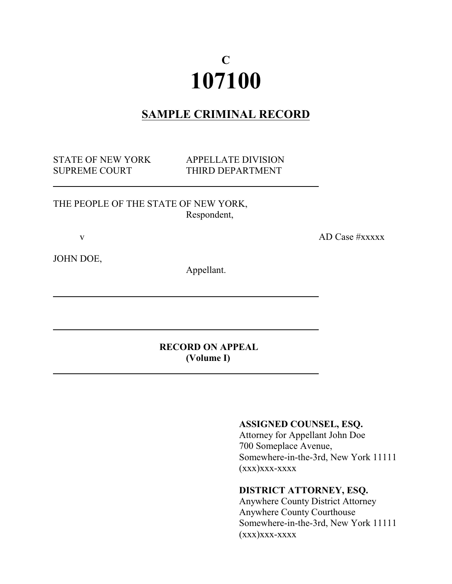# **C 107100**

# **SAMPLE CRIMINAL RECORD**

STATE OF NEW YORK APPELLATE DIVISION

SUPREME COURT THIRD DEPARTMENT

THE PEOPLE OF THE STATE OF NEW YORK, Respondent,

v AD Case #xxxxx

JOHN DOE,

l

l

l

Appellant.

**RECORD ON APPEAL (Volume I)**

#### **ASSIGNED COUNSEL, ESQ.**

Attorney for Appellant John Doe 700 Someplace Avenue, Somewhere-in-the-3rd, New York 11111  $(xxx)xxx-xxxx$ 

### **DISTRICT ATTORNEY, ESQ.**

Anywhere County District Attorney Anywhere County Courthouse Somewhere-in-the-3rd, New York 11111 (xxx)xxx-xxxx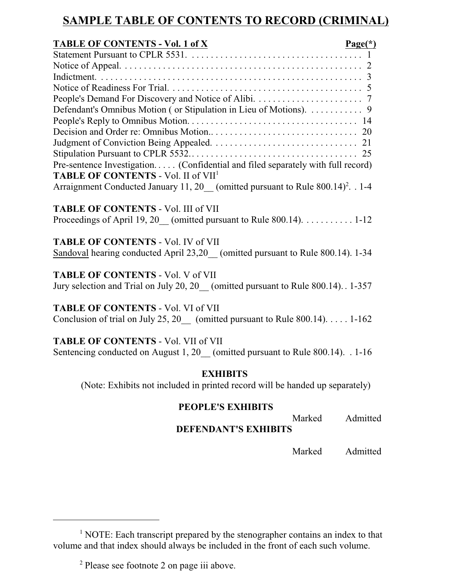# **SAMPLE TABLE OF CONTENTS TO RECORD (CRIMINAL)**

| <b>TABLE OF CONTENTS - Vol. 1 of X</b><br>$Page(*)$                                                                          |  |
|------------------------------------------------------------------------------------------------------------------------------|--|
|                                                                                                                              |  |
|                                                                                                                              |  |
|                                                                                                                              |  |
|                                                                                                                              |  |
|                                                                                                                              |  |
| Defendant's Omnibus Motion (or Stipulation in Lieu of Motions). 9                                                            |  |
|                                                                                                                              |  |
|                                                                                                                              |  |
|                                                                                                                              |  |
|                                                                                                                              |  |
| Pre-sentence Investigation (Confidential and filed separately with full record)                                              |  |
| TABLE OF CONTENTS - Vol. II of VII <sup>1</sup>                                                                              |  |
| Arraignment Conducted January 11, $20$ (omitted pursuant to Rule 800.14) <sup>2</sup> . . 1-4                                |  |
| <b>TABLE OF CONTENTS - Vol. III of VII</b>                                                                                   |  |
| Proceedings of April 19, 20 (omitted pursuant to Rule 800.14). 1-12                                                          |  |
| <b>TABLE OF CONTENTS - Vol. IV of VII</b>                                                                                    |  |
| Sandoval hearing conducted April 23,20 (omitted pursuant to Rule 800.14). 1-34                                               |  |
| <b>TABLE OF CONTENTS - Vol. V of VII</b>                                                                                     |  |
| Jury selection and Trial on July 20, 20 (omitted pursuant to Rule 800.14) 1-357                                              |  |
| <b>TABLE OF CONTENTS - Vol. VI of VII</b>                                                                                    |  |
| Conclusion of trial on July 25, 20 (omitted pursuant to Rule $800.14$ ) 1-162                                                |  |
| <b>TABLE OF CONTENTS - Vol. VII of VII</b><br>Sentencing conducted on August 1, 20 (omitted pursuant to Rule 800.14). . 1-16 |  |
| <b>EXHIBITS</b><br>(Note: Exhibits not included in printed record will be handed up separately)                              |  |
|                                                                                                                              |  |

### **PEOPLE'S EXHIBITS**

Marked Admitted

**DEFENDANT'S EXHIBITS**

Marked Admitted

<sup>&</sup>lt;sup>1</sup> NOTE: Each transcript prepared by the stenographer contains an index to that volume and that index should always be included in the front of each such volume.

<sup>2</sup> Please see footnote 2 on page iii above.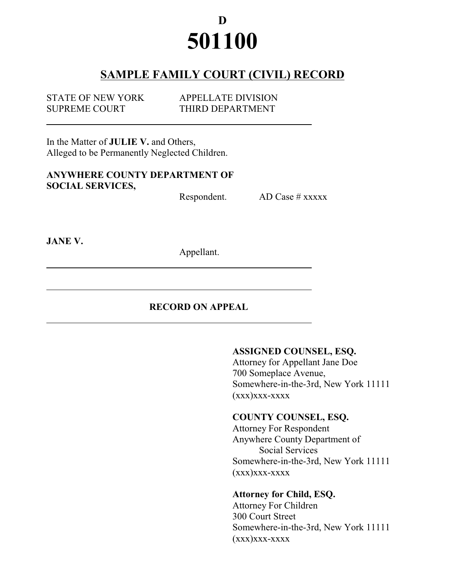# **D 501100**

# **SAMPLE FAMILY COURT (CIVIL) RECORD**

| <b>STATE OF NEW YORK</b> | <b>APPELLATE DIVISION</b> |
|--------------------------|---------------------------|
| <b>SUPREME COURT</b>     | THIRD DEPARTMENT          |

In the Matter of **JULIE V.** and Others, Alleged to be Permanently Neglected Children.

### **ANYWHERE COUNTY DEPARTMENT OF SOCIAL SERVICES,**

Respondent. AD Case # xxxxx

**JANE V.**

l

Appellant.

### **RECORD ON APPEAL**

#### **ASSIGNED COUNSEL, ESQ.**

Attorney for Appellant Jane Doe 700 Someplace Avenue, Somewhere-in-the-3rd, New York 11111  $(xxx)xxx-xxxxx$ 

### **COUNTY COUNSEL, ESQ.**

Attorney For Respondent Anywhere County Department of Social Services Somewhere-in-the-3rd, New York 11111  $(xxx)xxx-xxxxx$ 

### **Attorney for Child, ESQ.**

Attorney For Children 300 Court Street Somewhere-in-the-3rd, New York 11111  $(xxx)xxx-xxxxx$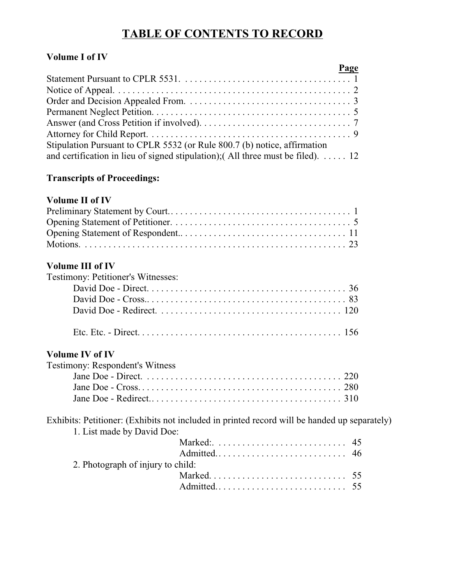# **TABLE OF CONTENTS TO RECORD**

### **Volume I of IV**

| Page                                                                                    |  |
|-----------------------------------------------------------------------------------------|--|
|                                                                                         |  |
|                                                                                         |  |
|                                                                                         |  |
|                                                                                         |  |
|                                                                                         |  |
|                                                                                         |  |
| Stipulation Pursuant to CPLR 5532 (or Rule 800.7 (b) notice, affirmation                |  |
| and certification in lieu of signed stipulation); (All three must be filed). $\dots$ 12 |  |

### **Transcripts of Proceedings:**

### **Volume II of IV**

### **Volume III of IV**

| Testimony: Petitioner's Witnesses:     |
|----------------------------------------|
|                                        |
|                                        |
|                                        |
|                                        |
| <b>Volume IV of IV</b>                 |
| <b>Testimony: Respondent's Witness</b> |
|                                        |

Exhibits: Petitioner: (Exhibits not included in printed record will be handed up separately) 1. List made by David Doe:

| 2. Photograph of injury to child: |  |
|-----------------------------------|--|
|                                   |  |
|                                   |  |